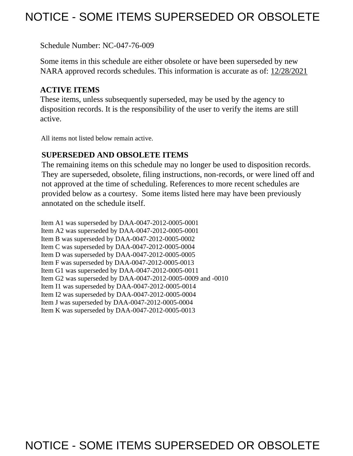# NOTICE - SOME ITEMS SUPERSEDED OR OBSOLETE

Schedule Number: NC-047-76-009

 Some items in this schedule are either obsolete or have been superseded by new NARA approved records schedules. This information is accurate as of: 12/28/2021

# **ACTIVE ITEMS**

 These items, unless subsequently superseded, may be used by the agency to disposition records. It is the responsibility of the user to verify the items are still active.

All items not listed below remain active.

## **SUPERSEDED AND OBSOLETE ITEMS**

 The remaining items on this schedule may no longer be used to disposition records. not approved at the time of scheduling. References to more recent schedules are provided below as a courtesy. Some items listed here may have been previously They are superseded, obsolete, filing instructions, non-records, or were lined off and annotated on the schedule itself.

Item A1 was superseded by DAA-0047-2012-0005-0001 Item A2 was superseded by DAA-0047-2012-0005-0001 Item B was superseded by DAA-0047-2012-0005-0002 Item C was superseded by DAA-0047-2012-0005-0004 Item D was superseded by DAA-0047-2012-0005-0005 Item F was superseded by DAA-0047-2012-0005-0013 Item G1 was superseded by DAA-0047-2012-0005-0011 Item G2 was superseded by DAA-0047-2012-0005-0009 and -0010 Item I1 was superseded by DAA-0047-2012-0005-0014 Item I2 was superseded by DAA-0047-2012-0005-0004 Item J was superseded by DAA-0047-2012-0005-0004 Item K was superseded by DAA-0047-2012-0005-0013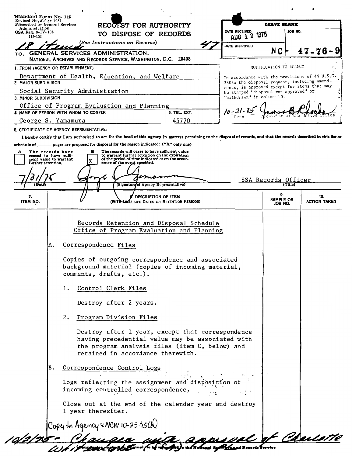| Revised Noverfuer 1951                                                                   | Standard Form No. 115<br>REQUEST FOR AUTHORITY<br>Prescribed by General Services<br>TO DISPOSE OF RECORDS                                                                 |                                   |                                                                                              | <b>LEAVE BLANK</b>     |                     |  |
|------------------------------------------------------------------------------------------|---------------------------------------------------------------------------------------------------------------------------------------------------------------------------|-----------------------------------|----------------------------------------------------------------------------------------------|------------------------|---------------------|--|
| Administration<br>GSA Reg. 3-IV-106                                                      |                                                                                                                                                                           |                                   | DATE RECEIVED<br>JOB NO.<br>AUG 1 2 1975                                                     |                        |                     |  |
| 115-103                                                                                  | (See Instructions on Reverse)                                                                                                                                             |                                   | DATE APPROVED                                                                                |                        |                     |  |
|                                                                                          | TO: GENERAL SERVICES ADMINISTRATION,<br>NATIONAL ARCHIVES AND RECORDS SERVICE, WASHINGTON, D.C. 20408                                                                     |                                   |                                                                                              | N C                    | $47 - 76 - 9$       |  |
| 1. FROM (AGENCY OR ESTABLISHMENT)                                                        |                                                                                                                                                                           |                                   |                                                                                              | NOTIFICATION TO AGENCY |                     |  |
|                                                                                          | Department of Health, Education, and Welfare                                                                                                                              |                                   | In accordance with the provisions of 44 U.S.C.                                               |                        |                     |  |
| 2. MAJOR SUBDIVISION                                                                     | Social Security Administration                                                                                                                                            |                                   | 3303a the disposal request, including amend-<br>ments, is approved except for items that may |                        |                     |  |
| 3. MINOR SUBDIVISION                                                                     |                                                                                                                                                                           |                                   | be stamped "disposal not approved" or<br>"withdrawn" in column 10.                           |                        |                     |  |
|                                                                                          | Office of Program Evaluation and Planning                                                                                                                                 |                                   | $10 - 21 - 15$                                                                               |                        |                     |  |
| 4. NAME OF PERSON WITH WHOM TO CONFER                                                    |                                                                                                                                                                           | 5. TEL. EXT.<br>45770             |                                                                                              |                        |                     |  |
| George S. Yamamura<br>6. CERTIFICATE OF AGENCY REPRESENTATIVE:                           |                                                                                                                                                                           |                                   |                                                                                              |                        |                     |  |
|                                                                                          | I hereby certify that I am authorized to act for the head of this agency in matters pertaining to the disposal of records, and that the records described in this list or |                                   |                                                                                              |                        |                     |  |
|                                                                                          | achedule of _______ pages are proposed for disposal for the reason indicated: ("X" only one)                                                                              |                                   |                                                                                              |                        |                     |  |
| The records have<br>ceased to have suffi-<br>cient value to warrant                      | The records will cease to have sufficient value<br>в<br>to warrant further retention on the expiration<br>of the period of time indicated or on the occur-                |                                   |                                                                                              |                        |                     |  |
| further retention.                                                                       | rence of the event specified.                                                                                                                                             |                                   |                                                                                              |                        |                     |  |
|                                                                                          |                                                                                                                                                                           |                                   |                                                                                              |                        |                     |  |
|                                                                                          | (Signature of Agency Representative)                                                                                                                                      |                                   |                                                                                              | SSA Records Officer    |                     |  |
| 7.                                                                                       | DESCRIPTION OF ITEM                                                                                                                                                       |                                   |                                                                                              | 9.                     | 10.                 |  |
| ITEM NO.                                                                                 |                                                                                                                                                                           | USIVE DATES OR RETENTION PERIODS) |                                                                                              | SAMPLE OR<br>JOB NO.   | <b>ACTION TAKEN</b> |  |
|                                                                                          |                                                                                                                                                                           |                                   |                                                                                              |                        |                     |  |
|                                                                                          | Records Retention and Disposal Schedule                                                                                                                                   |                                   |                                                                                              |                        |                     |  |
|                                                                                          | Office of Program Evaluation and Planning                                                                                                                                 |                                   |                                                                                              |                        |                     |  |
| Α.                                                                                       | Correspondence Files                                                                                                                                                      |                                   |                                                                                              |                        |                     |  |
|                                                                                          |                                                                                                                                                                           |                                   |                                                                                              |                        |                     |  |
|                                                                                          | Copies of outgoing correspondence and associated<br>background material (copies of incoming material,                                                                     |                                   |                                                                                              |                        |                     |  |
|                                                                                          | comments, drafts, etc.).                                                                                                                                                  |                                   |                                                                                              |                        |                     |  |
|                                                                                          | Control Clerk Files<br>1.                                                                                                                                                 |                                   |                                                                                              |                        |                     |  |
|                                                                                          | Destroy after 2 years.                                                                                                                                                    |                                   |                                                                                              |                        |                     |  |
|                                                                                          | 2.<br>Program Division Files                                                                                                                                              |                                   |                                                                                              |                        |                     |  |
| Destroy after 1 year, except that correspondence                                         |                                                                                                                                                                           |                                   |                                                                                              |                        |                     |  |
|                                                                                          | having precedential value may be associated with                                                                                                                          |                                   |                                                                                              |                        |                     |  |
|                                                                                          | the program analysis files (item C, below) and                                                                                                                            |                                   |                                                                                              |                        |                     |  |
|                                                                                          | retained in accordance therewith.                                                                                                                                         |                                   |                                                                                              |                        |                     |  |
| в.                                                                                       | Correspondence Control Logs                                                                                                                                               |                                   |                                                                                              |                        |                     |  |
|                                                                                          |                                                                                                                                                                           |                                   |                                                                                              |                        |                     |  |
| Logs reflecting the assignment and disposition of<br>incoming controlled correspondence. |                                                                                                                                                                           |                                   |                                                                                              |                        |                     |  |
|                                                                                          |                                                                                                                                                                           |                                   |                                                                                              |                        |                     |  |
|                                                                                          | Close out at the end of the calendar year and destroy<br>1 year thereafter.                                                                                               |                                   |                                                                                              |                        |                     |  |
|                                                                                          |                                                                                                                                                                           |                                   |                                                                                              |                        |                     |  |
|                                                                                          | Copy to Agency & NCW 10-23-150N                                                                                                                                           |                                   |                                                                                              |                        | L'Autor             |  |
|                                                                                          |                                                                                                                                                                           |                                   |                                                                                              |                        |                     |  |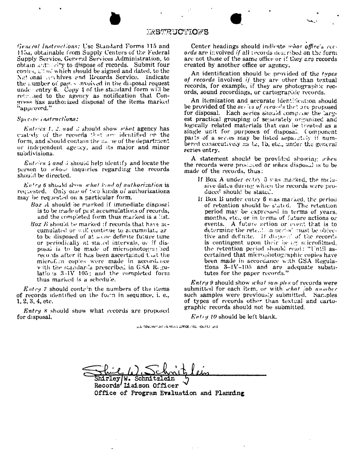#### *TASTRUCTIONS*

General Instructions: Use Standard Forms 115 and 115a, obtainable from Supply Centers of the Federal Supply Service, General Services Administration, to obtain authority to dispose of records. Submit four copies,  $\mu$ ! of which should be signed and dated, to the National cyclives and Records Service. Indicate the number of pages involved in the disposal request under entry  $6.$  Copy 4 of the standard form will be returned to the agency as notification that Congress has authorized disposal of the items marked "approved."

#### Specific instructions:

Entries 1, 2, and 3 should show what agency has eastedy of the records that are identified on the form, and should contain the name of the department or independent agency, and its major and minor subdivisions.

*Entries 4 and 5* should help identify and locate the person to whow inquiries regarding the records should be directed.

 $Entry$  6 should show what kind of authorization is requested. Only one of two kinds of authorizations may be requested on a particular form.

- Box A should be marked if immediate disposal is to be made of past accumulations of records, and the completed form thus marked is a list.
- Box  $B$  should be marked if records that have accumulated or will continue to accumulate art to be disposed of at some definite future time or periodically at stated intervals, or if disposal is to be made of microphotographed records after it has been ascertained that the microf.in copies were made in accordance with the standards prescribed in GSA Regulations 3-IV 105; and the completed form thus marked is a schedule.

 $E<sub>at</sub>ry \gamma$  should contain the numbers of the items of records identified on the form in sequence, i. e.,  $1, 2, 3, 4,$  etc.

*Entry 8* should show what records are proposed for disposal.

Center headings should indicate what office's records are involved if all records described on the form are not those of the same office or if they are records created by another office or agency.

An identification should be provided of the types of records involved if they are other than textual records, for example, if they are photographic records, sound recordings, or cartographic records.

An itemization and accurate identification should be provided of the series of records that are proposed for disposal. Each series should comprise the largest practical grouping of separately organized and logically related materials that can be treated as a single unit for purposes of disposal. Component parts of a series may be listed separately if numbered consecutively as 1a, 1b, etc., under the general series entry.

A statement should be provided showing when the records were produced or when disposal is to be made of the records, thus:

- If Box A under entry 6 was marked, the molusive dates during which the records were produced should be stated.
- If Box B under entry 6 was marked, the period of retention should be stated. The retention period may be expressed in terms of years, months, etc., or in terms of future actions or events. A future action or event that is to determine the rete.... In period must be objective and definite. If disposed of the records is contingent upon their be ag microfilmed. the retention period should read: "Until ascertained that microphotographic copies have been made in accordance with GSA Regulations  $3-1V-105$  and are adequate substitutes for the paper records."

Entry 9 should show what samples of records were submitted for each item, or with what job number such samples were previously submitted. Samples of types of records other than textual and cartographic records should not be submitted.

 $Enty$  10 should be left blank.

JUS, COVERNMENT VIRINTING CORTOE (1950) -O-712 (313)

Shirley/W. Schni Records' Liaison Officer Office of Program Evaluation and Planning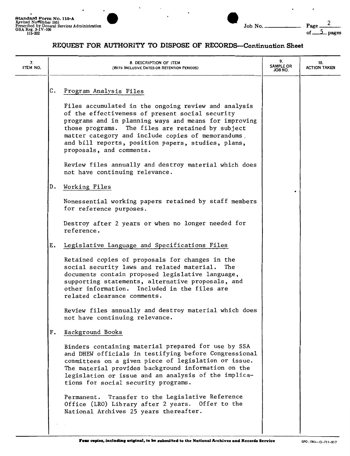$\ddot{\phantom{0}}$ 

 $\blacksquare$ 

 $\cdot$ 



 $\ddot{\phantom{0}}$ 

 $\centerdot$ 

## **REQUEST FOR AUTHORITY TO DISPOSE OF RECORDS-Continuation Sheet**

| 7.<br>ITEM NO. | 8. DESCRIPTION OF ITEM<br>(WITH INCLUSIVE DATES OR RETENTION PERIODS)                                                                                                                                                                                                                                                      | 9.<br><b>SAMPLE OR</b><br>JOB NO. | 10.<br><b>ACTION TAKEN</b> |
|----------------|----------------------------------------------------------------------------------------------------------------------------------------------------------------------------------------------------------------------------------------------------------------------------------------------------------------------------|-----------------------------------|----------------------------|
|                | С.<br>Program Analysis Files<br>Files accumulated in the ongoing review and analysis                                                                                                                                                                                                                                       |                                   |                            |
|                | of the effectiveness of present social security<br>programs and in planning ways and means for improving<br>those programs. The files are retained by subject<br>matter category and include copies of memorandums,<br>and bill reports, position papers, studies, plans,<br>proposals, and comments.                      |                                   |                            |
|                | Review files annually and destroy material which does<br>not have continuing relevance.                                                                                                                                                                                                                                    |                                   |                            |
|                | Working Files<br>D.                                                                                                                                                                                                                                                                                                        |                                   |                            |
|                | Nonessential working papers retained by staff members<br>for reference purposes.                                                                                                                                                                                                                                           |                                   |                            |
|                | Destroy after 2 years or when no longer needed for<br>reference.                                                                                                                                                                                                                                                           |                                   |                            |
|                | Legislative Language and Specifications Files<br>Ε.                                                                                                                                                                                                                                                                        |                                   |                            |
|                | Retained copies of proposals for changes in the<br>social security laws and related material.<br>The<br>documents contain proposed legislative language,<br>supporting statements, alternative proposals, and<br>other information. Included in the files are<br>related clearance comments.                               |                                   |                            |
|                | Review files annually and destroy material which does<br>not have continuing relevance.                                                                                                                                                                                                                                    |                                   |                            |
|                | Background Books<br>$F$ .                                                                                                                                                                                                                                                                                                  |                                   |                            |
|                | Binders containing material prepared for use by SSA<br>and DHEW officials in testifying before Congressional<br>committees on a given piece of legislation or issue.<br>The material provides background information on the<br>legislation or issue and an analysis of the implica-<br>tions for social security programs. |                                   |                            |
|                | Transfer to the Legislative Reference<br>Permanent.<br>Office (LRO) Library after 2 years. Offer to the<br>National Archives 25 years thereafter.                                                                                                                                                                          |                                   |                            |
|                |                                                                                                                                                                                                                                                                                                                            |                                   |                            |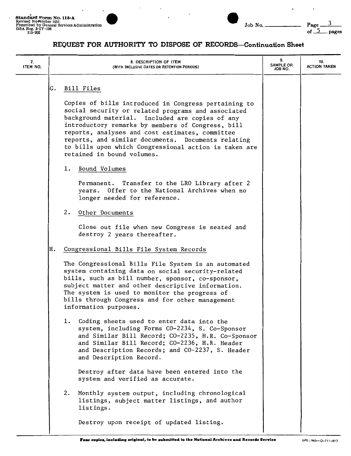$\overline{a}$ 



 $\ddot{\phantom{0}}$ 

 $\overline{a}$ 

#### **REQUEST FOR AUTHORITY TO DISPOSE OF RECORDS-Continuation Sheet**

| 7.<br>ITEM NO. |    | 8. DESCRIPTION OF ITEM<br>(WITH INCLUSIVE DATES OR RETENTION PERIODS)                                                                                                                                                                                                                                                                                                                                              | 9.<br><b>SAMPLE OR</b><br>JOB NO. | 10.<br><b>ACTION TAKEN</b> |
|----------------|----|--------------------------------------------------------------------------------------------------------------------------------------------------------------------------------------------------------------------------------------------------------------------------------------------------------------------------------------------------------------------------------------------------------------------|-----------------------------------|----------------------------|
|                | G. | Bill Files                                                                                                                                                                                                                                                                                                                                                                                                         |                                   |                            |
|                |    | Copies of bills introduced in Congress pertaining to<br>social security or related programs and associated<br>background material. Included are copies of any<br>introductory remarks by members of Congress, bill<br>reports, analyses and cost estimates, committee<br>reports, and similar documents. Documents relating<br>to bills upon which Congressional action is taken are<br>retained in bound volumes. |                                   |                            |
|                |    | Bound Volumes<br>ı.                                                                                                                                                                                                                                                                                                                                                                                                |                                   |                            |
|                |    | Transfer to the LRO Library after 2<br>Permanent.<br>years. Offer to the National Archives when no<br>longer needed for reference.                                                                                                                                                                                                                                                                                 |                                   |                            |
|                |    | 2.<br>Other Documents                                                                                                                                                                                                                                                                                                                                                                                              |                                   |                            |
|                |    | Close out file when new Congress is seated and<br>destroy 2 years thereafter.                                                                                                                                                                                                                                                                                                                                      |                                   |                            |
|                | н. | Congressional Bills File System Records                                                                                                                                                                                                                                                                                                                                                                            |                                   |                            |
|                |    | The Congressional Bills File System is an automated<br>system containing data on social security-related<br>bills, such as bill number, sponsor, co-sponsor,<br>subject matter and other descriptive information.<br>The system is used to monitor the progress of<br>bills through Congress and for other management<br>information purposes.                                                                     |                                   |                            |
|                |    | Coding sheets used to enter data into the<br>1.<br>system, including Forms CO-2234, S. Co-Sponsor<br>and Similar Bill Record; CO-2235, H.R. Co-Sponsor<br>and Similar Bill Record; CO-2236, H.R. Header<br>and Description Records; and CO-2237, S. Header<br>and Description Record.                                                                                                                              |                                   |                            |
|                |    | Destroy after data have been entered into the<br>system and verified as accurate.                                                                                                                                                                                                                                                                                                                                  |                                   |                            |
|                |    | Monthly system output, including chronological<br>2.<br>listings, subject matter listings, and author<br>listings.                                                                                                                                                                                                                                                                                                 |                                   |                            |
|                |    | Destroy upon receipt of updated listing.                                                                                                                                                                                                                                                                                                                                                                           |                                   |                            |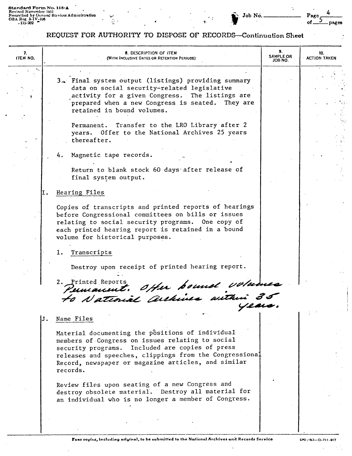$\cdot$ 

 $\ddot{\cdot}$ 

ò,

#### Job No.

4 Page of pages

Ì.

 $\ddot{\phantom{0}}$ 

## REQUEST FOR AUTHORITY TO DISPOSE OF RECORDS-Continuation Sheet

| 7.<br>ITEM NO. | 8. DESCRIPTION OF ITEM<br>(WITH INCLUSIVE DATES OR RETENTION PERIODS)                                                                                                                                                                                                                 | 9.<br><b>SAMPLE OR</b><br>JOB NO. | 10.<br><b>ACTION TAKEN</b> |
|----------------|---------------------------------------------------------------------------------------------------------------------------------------------------------------------------------------------------------------------------------------------------------------------------------------|-----------------------------------|----------------------------|
|                | 3. Final system output (listings) providing summary<br>data on social security-related legislative<br>activity for a given Congress. The listings are<br>prepared when a new Congress is seated. They are<br>retained in bound volumes.                                               |                                   |                            |
|                | Permanent. Transfer to the LRO Library after 2<br>years. Offer to the National Archives 25 years<br>thereafter.                                                                                                                                                                       |                                   |                            |
|                | 4. Magnetic tape records.                                                                                                                                                                                                                                                             |                                   |                            |
|                | Return to blank stock 60 days after release of<br>final system output.                                                                                                                                                                                                                |                                   |                            |
|                | Hearing Files<br>Ι.                                                                                                                                                                                                                                                                   |                                   |                            |
|                | Copies of transcripts and printed reports of hearings<br>before Congressional committees on bills or issues<br>relating to social security programs. One copy of<br>each printed hearing report is retained in a bound<br>volume for historical purposes.                             |                                   |                            |
|                | Transcripts<br>1.                                                                                                                                                                                                                                                                     |                                   |                            |
|                | Destroy upon receipt of printed hearing report.                                                                                                                                                                                                                                       |                                   |                            |
|                | 2. Printed Repor<br>Permanent. Offer bound volumes                                                                                                                                                                                                                                    |                                   |                            |
|                |                                                                                                                                                                                                                                                                                       |                                   |                            |
|                | Name Files<br>J.                                                                                                                                                                                                                                                                      |                                   |                            |
|                | Material documenting the positions of individual<br>members of Congress on issues relating to social<br>security programs. Included are copies of press<br>releases and speeches, clippings from the Congressional<br>Record, newspaper or magazine articles, and similar<br>records. |                                   |                            |
|                | Review files upon seating of a new Congress and<br>destroy obsolete material. Destroy all material for<br>an individual who is no longer a member of Congress.                                                                                                                        |                                   |                            |
|                |                                                                                                                                                                                                                                                                                       |                                   |                            |

 $\cdot$